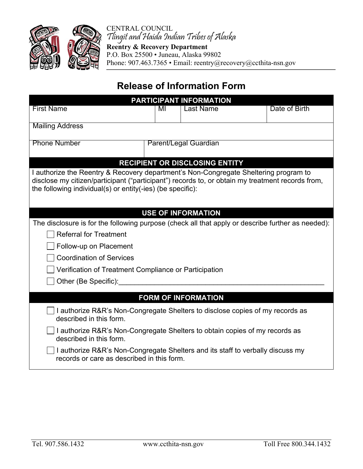

CENTRAL COUNCIL Tlingit and Haida Indian Tribes of Alaska

**Reentry & Recovery Department**  P.O. Box 25500 • Juneau, Alaska 99802 Phone: 907.463.7365 • Email: reentry@recovery@ccthita-nsn.gov

## **Release of Information Form**

| PARTICIPANT INFORMATION                                                                                                                                                                                                                                |                       |                  |               |  |
|--------------------------------------------------------------------------------------------------------------------------------------------------------------------------------------------------------------------------------------------------------|-----------------------|------------------|---------------|--|
| <b>First Name</b>                                                                                                                                                                                                                                      | MI                    | <b>Last Name</b> | Date of Birth |  |
| <b>Mailing Address</b>                                                                                                                                                                                                                                 |                       |                  |               |  |
| <b>Phone Number</b>                                                                                                                                                                                                                                    | Parent/Legal Guardian |                  |               |  |
| <b>RECIPIENT OR DISCLOSING ENTITY</b>                                                                                                                                                                                                                  |                       |                  |               |  |
| I authorize the Reentry & Recovery department's Non-Congregate Sheltering program to<br>disclose my citizen/participant ("participant") records to, or obtain my treatment records from,<br>the following individual(s) or entity(-ies) (be specific): |                       |                  |               |  |
|                                                                                                                                                                                                                                                        |                       |                  |               |  |
| <b>USE OF INFORMATION</b>                                                                                                                                                                                                                              |                       |                  |               |  |
| The disclosure is for the following purpose (check all that apply or describe further as needed):                                                                                                                                                      |                       |                  |               |  |
| <b>Referral for Treatment</b>                                                                                                                                                                                                                          |                       |                  |               |  |
| Follow-up on Placement                                                                                                                                                                                                                                 |                       |                  |               |  |
| <b>Coordination of Services</b>                                                                                                                                                                                                                        |                       |                  |               |  |
| Verification of Treatment Compliance or Participation                                                                                                                                                                                                  |                       |                  |               |  |
| Other (Be Specific):                                                                                                                                                                                                                                   |                       |                  |               |  |
|                                                                                                                                                                                                                                                        |                       |                  |               |  |
| <b>FORM OF INFORMATION</b>                                                                                                                                                                                                                             |                       |                  |               |  |
| I authorize R&R's Non-Congregate Shelters to disclose copies of my records as<br>described in this form.                                                                                                                                               |                       |                  |               |  |
| I authorize R&R's Non-Congregate Shelters to obtain copies of my records as<br>described in this form.                                                                                                                                                 |                       |                  |               |  |
| I authorize R&R's Non-Congregate Shelters and its staff to verbally discuss my<br>records or care as described in this form.                                                                                                                           |                       |                  |               |  |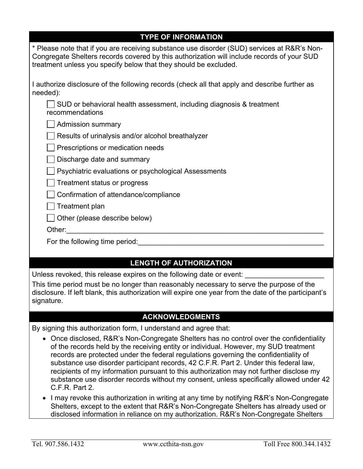| <b>TYPE OF INFORMATION</b>                                                                                                                                                                                                                                                                                                                                                                                                                                  |  |  |  |
|-------------------------------------------------------------------------------------------------------------------------------------------------------------------------------------------------------------------------------------------------------------------------------------------------------------------------------------------------------------------------------------------------------------------------------------------------------------|--|--|--|
| * Please note that if you are receiving substance use disorder (SUD) services at R&R's Non-<br>Congregate Shelters records covered by this authorization will include records of your SUD<br>treatment unless you specify below that they should be excluded.                                                                                                                                                                                               |  |  |  |
| I authorize disclosure of the following records (check all that apply and describe further as<br>needed):                                                                                                                                                                                                                                                                                                                                                   |  |  |  |
| SUD or behavioral health assessment, including diagnosis & treatment<br>recommendations                                                                                                                                                                                                                                                                                                                                                                     |  |  |  |
| Admission summary                                                                                                                                                                                                                                                                                                                                                                                                                                           |  |  |  |
| Results of urinalysis and/or alcohol breathalyzer                                                                                                                                                                                                                                                                                                                                                                                                           |  |  |  |
| Prescriptions or medication needs                                                                                                                                                                                                                                                                                                                                                                                                                           |  |  |  |
| Discharge date and summary                                                                                                                                                                                                                                                                                                                                                                                                                                  |  |  |  |
| Psychiatric evaluations or psychological Assessments                                                                                                                                                                                                                                                                                                                                                                                                        |  |  |  |
| Treatment status or progress                                                                                                                                                                                                                                                                                                                                                                                                                                |  |  |  |
| Confirmation of attendance/compliance                                                                                                                                                                                                                                                                                                                                                                                                                       |  |  |  |
| Treatment plan                                                                                                                                                                                                                                                                                                                                                                                                                                              |  |  |  |
| Other (please describe below)                                                                                                                                                                                                                                                                                                                                                                                                                               |  |  |  |
| Other:                                                                                                                                                                                                                                                                                                                                                                                                                                                      |  |  |  |
| For the following time period:                                                                                                                                                                                                                                                                                                                                                                                                                              |  |  |  |
|                                                                                                                                                                                                                                                                                                                                                                                                                                                             |  |  |  |
| <b>LENGTH OF AUTHORIZATION</b>                                                                                                                                                                                                                                                                                                                                                                                                                              |  |  |  |
| Unless revoked, this release expires on the following date or event:                                                                                                                                                                                                                                                                                                                                                                                        |  |  |  |
| This time period must be no longer than reasonably necessary to serve the purpose of the<br>disclosure. If left blank, this authorization will expire one year from the date of the participant's<br>signature.                                                                                                                                                                                                                                             |  |  |  |
| <b>ACKNOWLEDGMENTS</b>                                                                                                                                                                                                                                                                                                                                                                                                                                      |  |  |  |
| By signing this authorization form, I understand and agree that:                                                                                                                                                                                                                                                                                                                                                                                            |  |  |  |
| • Once disclosed, R&R's Non-Congregate Shelters has no control over the confidentiality<br>of the records held by the receiving entity or individual. However, my SUD treatment<br>records are protected under the federal regulations governing the confidentiality of<br>substance use disorder participant records, 42 C.F.R. Part 2. Under this federal law,<br>recipients of my information pursuant to this authorization may not further disclose my |  |  |  |

• I may revoke this authorization in writing at any time by notifying R&R's Non-Congregate Shelters, except to the extent that R&R's Non-Congregate Shelters has already used or disclosed information in reliance on my authorization. R&R's Non-Congregate Shelters

substance use disorder records without my consent, unless specifically allowed under 42

C.F.R. Part 2.